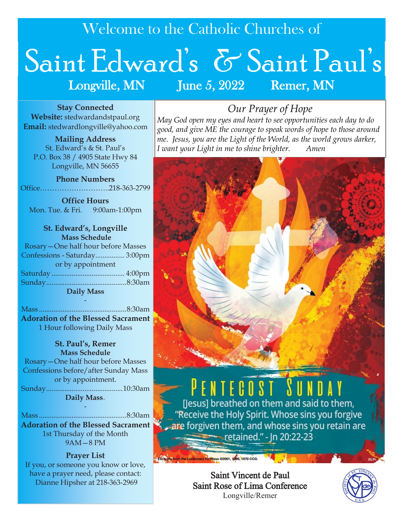Welcome to the Catholic Churches of

# Saint Edward's & Saint Paul's Longville, MN June 5, 2022 Remer, MN

**Stay Connected Website:** stedwardandstpaul.org **Email:** stedwardlongville@yahoo.com

**Mailing Address** St. Edward's & St. Paul's P.O. Box 38 / 4905 State Hwy 84 Longville, MN 56655

**Phone Numbers** Office………………………..218-363-2799

**Office Hours** Mon. Tue. & Fri. 9:00am-1:00pm

**St. Edward's, Longville Mass Schedule** Rosary—One half hour before Masses Confessions - Saturday................ 3:00pm or by appointment Saturday ........................................ 4:00pm Sunday............................................8:30am **Daily Mass**

Mass ................................................8:30am **Adoration of the Blessed Sacrament** 1 Hour following Daily Mass

-

#### **St. Paul's, Remer Mass Schedule**

Rosary—One half hour before Masses Confessions before/after Sunday Mass or by appointment. Sunday..........................................10:30am **Daily Mass—**

Mass ................................................8:30am **Adoration of the Blessed Sacrament**  1st Thursday of the Month 9AM—8 PM

-

**Prayer List** If you, or someone you know or love, have a prayer need, please contact: Dianne Hipsher at 218-363-2969

# *Our Prayer of Hope*

*May God open my eyes and heart to see opportunities each day to do good, and give ME the courage to speak words of hope to those around me. Jesus, you are the Light of the World, as the world grows darker, I want your Light in me to shine brighter. Amen*



Saint Vincent de Paul Saint Rose of Lima Conference Longville/Remer

Excerpts from the Lectionary for Mass ©2001, 1908, 1970 CCD.

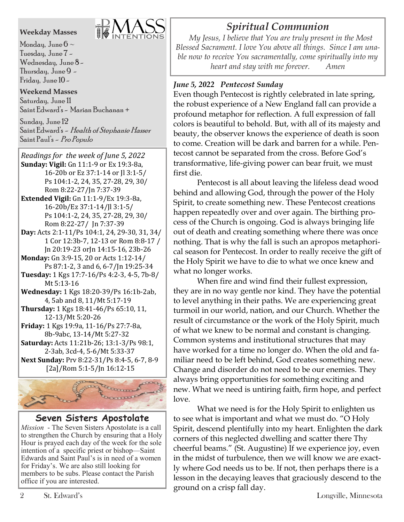#### **Weekday Masses**



Monday, June  $6 \sim$ Tuesday, June 7 - Wednesday, June 8 - Thursday, June  $9 -$ Friday, June  $10-$ 

#### **Weekend Masses**

Saturday, June 11 Saint Edward's - Marian Buchanan +

Sunday, June 12 Saint Edward's - Health of Stephanie Hasser Saint Paul's - Pro Populo

*Readings for the week of June 5, 2022*  **Sunday: Vigil:** Gn 11:1-9 or Ex 19:3-8a, 16-20b or Ez 37:1-14 or Jl 3:1-5/ Ps 104:1-2, 24, 35, 27-28, 29, 30/ Rom 8:22-27/Jn 7:37-39 **Extended Vigil:** Gn 11:1-9/Ex 19:3-8a, 16-20b/Ez 37:1-14/Jl 3:1-5/

- Ps 104:1-2, 24, 35, 27-28, 29, 30/ Rom 8:22-27/ Jn 7:37-39
- **Day:** Acts 2:1-11/Ps 104:1, 24, 29-30, 31, 34/ 1 Cor 12:3b-7, 12-13 or Rom 8:8-17 / Jn 20:19-23 orJn 14:15-16, 23b-26
- **Monday:** Gn 3:9-15, 20 or Acts 1:12-14/ Ps 87:1-2, 3 and 6, 6-7/Jn 19:25-34
- **Tuesday:** 1 Kgs 17:7-16/Ps 4:2-3, 4-5, 7b-8/ Mt 5:13-16
- **Wednesday:** 1 Kgs 18:20-39/Ps 16:1b-2ab, 4, 5ab and 8, 11/Mt 5:17-19
- **Thursday:** 1 Kgs 18:41-46/Ps 65:10, 11, 12-13/Mt 5:20-26

**Friday:** 1 Kgs 19:9a, 11-16/Ps 27:7-8a, 8b-9abc, 13-14/Mt 5:27-32 **Saturday:** Acts 11:21b-26; 13:1-3/Ps 98:1,

2-3ab, 3cd-4, 5-6/Mt 5:33-37 **Next Sunday:** Prv 8:22-31/Ps 8:4-5, 6-7, 8-9 [2a]/Rom 5:1-5/Jn 16:12-15



## **Seven Sisters Apostolate**

*Mission* - The Seven Sisters Apostolate is a call to strengthen the Church by ensuring that a Holy Hour is prayed each day of the week for the sole intention of a specific priest or bishop—Saint Edwards and Saint Paul's is in need of a women for Friday's. We are also still looking for members to be subs. Please contact the Parish office if you are interested.

# *Spiritual Communion*

 *My Jesus, I believe that You are truly present in the Most Blessed Sacrament. I love You above all things. Since I am unable now to receive You sacramentally, come spiritually into my heart and stay with me forever. Amen*

## *June 5, 2022 Pentecost Sunday*

Even though Pentecost is rightly celebrated in late spring, the robust experience of a New England fall can provide a profound metaphor for reflection. A full expression of fall colors is beautiful to behold. But, with all of its majesty and beauty, the observer knows the experience of death is soon to come. Creation will be dark and barren for a while. Pentecost cannot be separated from the cross. Before God's transformative, life-giving power can bear fruit, we must first die.

Pentecost is all about leaving the lifeless dead wood behind and allowing God, through the power of the Holy Spirit, to create something new. These Pentecost creations happen repeatedly over and over again. The birthing process of the Church is ongoing. God is always bringing life out of death and creating something where there was once nothing. That is why the fall is such an apropos metaphorical season for Pentecost. In order to really receive the gift of the Holy Spirit we have to die to what we once knew and what no longer works.

When fire and wind find their fullest expression, they are in no way gentle nor kind. They have the potential to level anything in their paths. We are experiencing great turmoil in our world, nation, and our Church. Whether the result of circumstance or the work of the Holy Spirit, much of what we knew to be normal and constant is changing. Common systems and institutional structures that may have worked for a time no longer do. When the old and familiar need to be left behind, God creates something new. Change and disorder do not need to be our enemies. They always bring opportunities for something exciting and new. What we need is untiring faith, firm hope, and perfect love.

What we need is for the Holy Spirit to enlighten us to see what is important and what we must do. "O Holy Spirit, descend plentifully into my heart. Enlighten the dark corners of this neglected dwelling and scatter there Thy cheerful beams." (St. Augustine) If we experience joy, even in the midst of turbulence, then we will know we are exactly where God needs us to be. If not, then perhaps there is a lesson in the decaying leaves that graciously descend to the ground on a crisp fall day.